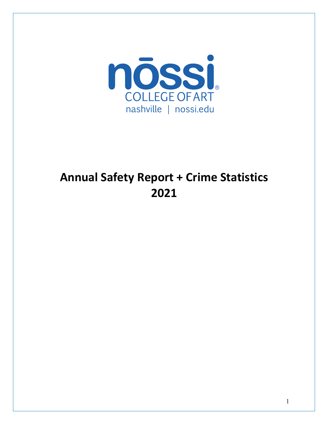

# **Annual Safety Report + Crime Statistics**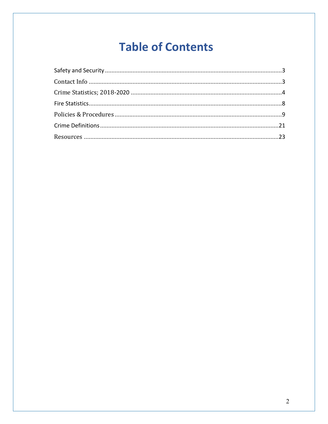# **Table of Contents**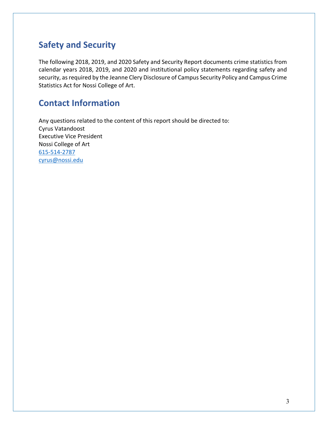# **Safety and Security**

The following 2018, 2019, and 2020 Safety and Security Report documents crime statistics from calendar years 2018, 2019, and 2020 and institutional policy statements regarding safety and security, as required by the Jeanne Clery Disclosure of Campus Security Policy and Campus Crime Statistics Act for Nossi College of Art.

# **Contact Information**

Any questions related to the content of this report should be directed to: Cyrus Vatandoost Executive Vice President Nossi College of Art 615-514-2787 cyrus@nossi.edu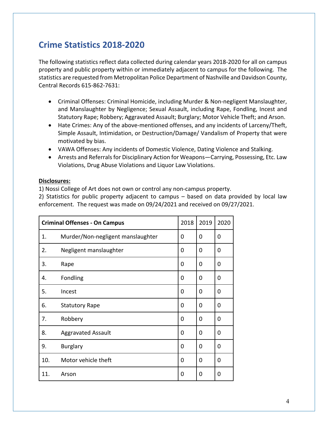# **Crime Statistics 2018-2020**

The following statistics reflect data collected during calendar years 2018-2020 for all on campus property and public property within or immediately adjacent to campus for the following. The statistics are requested from Metropolitan Police Department of Nashville and Davidson County, Central Records 615-862-7631:

- Criminal Offenses: Criminal Homicide, including Murder & Non-negligent Manslaughter, and Manslaughter by Negligence; Sexual Assault, including Rape, Fondling, Incest and Statutory Rape; Robbery; Aggravated Assault; Burglary; Motor Vehicle Theft; and Arson.
- Hate Crimes: Any of the above-mentioned offenses, and any incidents of Larceny/Theft, Simple Assault, Intimidation, or Destruction/Damage/ Vandalism of Property that were motivated by bias.
- VAWA Offenses: Any incidents of Domestic Violence, Dating Violence and Stalking.
- Arrests and Referrals for Disciplinary Action for Weapons—Carrying, Possessing, Etc. Law Violations, Drug Abuse Violations and Liquor Law Violations.

#### **Disclosures:**

1) Nossi College of Art does not own or control any non-campus property.

2) Statistics for public property adjacent to campus – based on data provided by local law enforcement. The request was made on 09/24/2021 and received on 09/27/2021.

| <b>Criminal Offenses - On Campus</b> |                                   | 2018     | 2019     | 2020 |
|--------------------------------------|-----------------------------------|----------|----------|------|
| 1.                                   | Murder/Non-negligent manslaughter | 0        | 0        | 0    |
| 2.                                   | Negligent manslaughter            | 0        | 0        | 0    |
| 3.                                   | Rape                              | 0        | 0        | 0    |
| 4.                                   | Fondling                          | 0        | 0        | 0    |
| 5.                                   | Incest                            | $\Omega$ | $\Omega$ | 0    |
| 6.                                   | <b>Statutory Rape</b>             | $\Omega$ | 0        | 0    |
| 7.                                   | Robbery                           | $\Omega$ | 0        | 0    |
| 8.                                   | <b>Aggravated Assault</b>         | $\Omega$ | 0        | 0    |
| 9.                                   | <b>Burglary</b>                   | $\Omega$ | 0        | 0    |
| 10.                                  | Motor vehicle theft               | $\Omega$ | $\Omega$ | 0    |
| 11.                                  | Arson                             | 0        | 0        | 0    |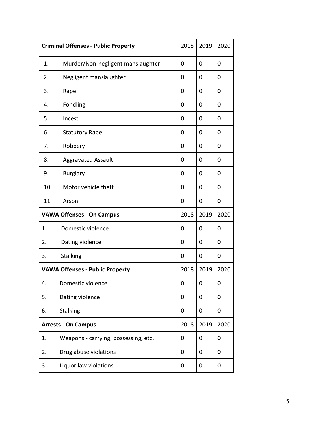| <b>Criminal Offenses - Public Property</b> |                                        | 2018 | 2019 | 2020 |
|--------------------------------------------|----------------------------------------|------|------|------|
| 1.                                         | Murder/Non-negligent manslaughter      | 0    | 0    | 0    |
| 2.                                         | Negligent manslaughter                 | 0    | 0    | 0    |
| 3.                                         | Rape                                   | 0    | 0    | 0    |
| 4.                                         | Fondling                               | 0    | 0    | 0    |
| 5.                                         | Incest                                 | 0    | 0    | 0    |
| 6.                                         | <b>Statutory Rape</b>                  | 0    | 0    | 0    |
| 7.                                         | Robbery                                | 0    | 0    | 0    |
| 8.                                         | <b>Aggravated Assault</b>              | 0    | 0    | 0    |
| 9.                                         | <b>Burglary</b>                        | 0    | 0    | 0    |
| 10.                                        | Motor vehicle theft                    | 0    | 0    | 0    |
| 11.                                        | Arson                                  | 0    | 0    | 0    |
|                                            | <b>VAWA Offenses - On Campus</b>       |      | 2019 | 2020 |
| 1.                                         | Domestic violence                      | 0    | 0    | 0    |
| 2.                                         | Dating violence                        | 0    | 0    | 0    |
| 3.                                         | <b>Stalking</b>                        | 0    | 0    | 0    |
|                                            | <b>VAWA Offenses - Public Property</b> | 2018 | 2019 | 2020 |
| 4.                                         | Domestic violence                      | 0    | 0    | 0    |
| 5.                                         | Dating violence                        | 0    | 0    | 0    |
| 6.                                         | <b>Stalking</b>                        | 0    | 0    | 0    |
| <b>Arrests - On Campus</b>                 |                                        | 2018 | 2019 | 2020 |
| 1.                                         | Weapons - carrying, possessing, etc.   | 0    | 0    | 0    |
| 2.                                         | Drug abuse violations                  | 0    | 0    | 0    |
| 3.                                         | Liquor law violations                  | 0    | 0    | 0    |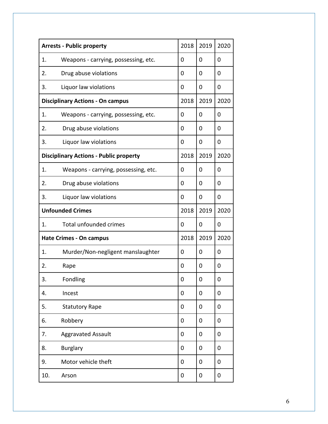|                         | <b>Arrests - Public property</b>              | 2018 | 2019     | 2020 |
|-------------------------|-----------------------------------------------|------|----------|------|
| 1.                      | Weapons - carrying, possessing, etc.          | 0    | $\Omega$ | 0    |
| 2.                      | Drug abuse violations                         | 0    | 0        | 0    |
| 3.                      | Liquor law violations                         | 0    | $\Omega$ | 0    |
|                         | <b>Disciplinary Actions - On campus</b>       | 2018 | 2019     | 2020 |
| 1.                      | Weapons - carrying, possessing, etc.          | 0    | $\Omega$ | 0    |
| 2.                      | Drug abuse violations                         | 0    | 0        | 0    |
| 3.                      | Liquor law violations                         | 0    | 0        | 0    |
|                         | <b>Disciplinary Actions - Public property</b> | 2018 | 2019     | 2020 |
| 1.                      | Weapons - carrying, possessing, etc.          | 0    | 0        | 0    |
| 2.                      | Drug abuse violations                         | 0    | 0        | 0    |
| 3.                      | Liquor law violations                         | 0    | 0        | 0    |
| <b>Unfounded Crimes</b> |                                               | 2018 | 2019     | 2020 |
| 1.                      | <b>Total unfounded crimes</b>                 | 0    | $\Omega$ | 0    |
|                         | <b>Hate Crimes - On campus</b>                | 2018 | 2019     | 2020 |
| 1.                      | Murder/Non-negligent manslaughter             | 0    | 0        | 0    |
| 2.                      | Rape                                          | 0    | 0        | 0    |
| 3.                      | Fondling                                      | 0    | 0        | 0    |
| 4.                      | Incest                                        | 0    | 0        | 0    |
| 5.                      | <b>Statutory Rape</b>                         | 0    | 0        | 0    |
| 6.                      | Robbery                                       | 0    | 0        | 0    |
| 7.                      | <b>Aggravated Assault</b>                     | 0    | 0        | 0    |
| 8.                      | <b>Burglary</b>                               | 0    | 0        | 0    |
| 9.                      | Motor vehicle theft                           | 0    | 0        | 0    |
| 10.                     | Arson                                         | 0    | 0        | 0    |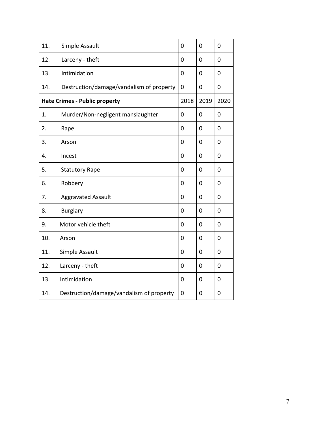| 11. | Simple Assault                           | 0              | 0    | 0    |
|-----|------------------------------------------|----------------|------|------|
| 12. | Larceny - theft                          | 0              | 0    | 0    |
| 13. | Intimidation                             | 0              | 0    | 0    |
| 14. | Destruction/damage/vandalism of property | 0              | 0    | 0    |
|     | <b>Hate Crimes - Public property</b>     | 2018           | 2019 | 2020 |
| 1.  | Murder/Non-negligent manslaughter        | 0              | 0    | 0    |
| 2.  | Rape                                     | 0              | 0    | 0    |
| 3.  | Arson                                    | 0              | 0    | 0    |
| 4.  | Incest                                   | 0              | 0    | 0    |
| 5.  | <b>Statutory Rape</b>                    | 0              | 0    | 0    |
| 6.  | Robbery                                  | 0              | 0    | 0    |
| 7.  | <b>Aggravated Assault</b>                | 0              | 0    | 0    |
| 8.  | <b>Burglary</b>                          | 0              | 0    | 0    |
| 9.  | Motor vehicle theft                      | 0              | 0    | 0    |
| 10. | Arson                                    | $\overline{0}$ | 0    | 0    |
| 11. | Simple Assault                           | 0              | 0    | 0    |
| 12. | Larceny - theft                          | 0              | 0    | 0    |
| 13. | Intimidation                             | 0              | 0    | 0    |
| 14. | Destruction/damage/vandalism of property | 0              | 0    | 0    |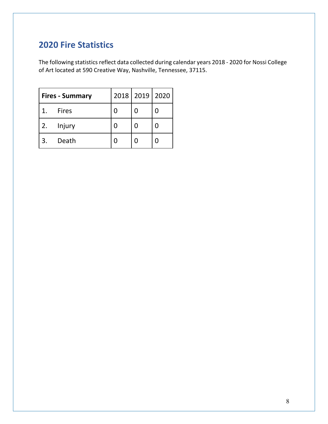# **2020 Fire Statistics**

The following statistics reflect data collected during calendar years 2018 - 2020 for Nossi College of Art located at 590 Creative Way, Nashville, Tennessee, 37115.

|    | <b>Fires - Summary</b> |  | 2018   2019   2020 |
|----|------------------------|--|--------------------|
|    | <b>Fires</b>           |  |                    |
| 2. | Injury                 |  |                    |
|    | Death                  |  |                    |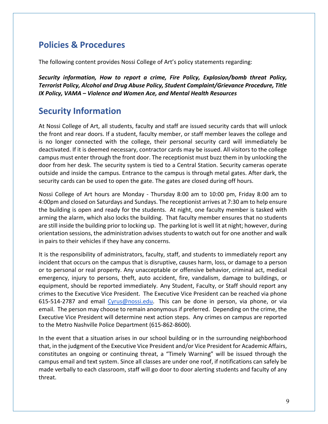## **Policies & Procedures**

The following content provides Nossi College of Art's policy statements regarding:

*Security information, How to report a crime, Fire Policy, Explosion/bomb threat Policy, Terrorist Policy, Alcohol and Drug Abuse Policy, Student Complaint/Grievance Procedure, Title IX Policy, VAMA – Violence and Women Ace, and Mental Health Resources*

## **Security Information**

At Nossi College of Art, all students, faculty and staff are issued security cards that will unlock the front and rear doors. If a student, faculty member, or staff member leaves the college and is no longer connected with the college, their personal security card will immediately be deactivated. If it is deemed necessary, contractor cards may be issued. All visitors to the college campus must enter through the front door. The receptionist must buzz them in by unlocking the door from her desk. The security system is tied to a Central Station. Security cameras operate outside and inside the campus. Entrance to the campus is through metal gates. After dark, the security cards can be used to open the gate. The gates are closed during off hours.

Nossi College of Art hours are Monday - Thursday 8:00 am to 10:00 pm, Friday 8:00 am to 4:00pm and closed on Saturdays and Sundays. The receptionist arrives at 7:30 am to help ensure the building is open and ready for the students. At night, one faculty member is tasked with arming the alarm, which also locks the building. That faculty member ensures that no students are still inside the building prior to locking up. The parking lot is well lit at night; however, during orientation sessions, the administration advises students to watch out for one another and walk in pairs to their vehicles if they have any concerns.

It is the responsibility of administrators, faculty, staff, and students to immediately report any incident that occurs on the campus that is disruptive, causes harm, loss, or damage to a person or to personal or real property. Any unacceptable or offensive behavior, criminal act, medical emergency, injury to persons, theft, auto accident, fire, vandalism, damage to buildings, or equipment, should be reported immediately. Any Student, Faculty, or Staff should report any crimes to the Executive Vice President. The Executive Vice President can be reached via phone 615-514-2787 and email Cyrus@nossi.edu. This can be done in person, via phone, or via email. The person may choose to remain anonymous if preferred. Depending on the crime, the Executive Vice President will determine next action steps. Any crimes on campus are reported to the Metro Nashville Police Department (615-862-8600).

In the event that a situation arises in our school building or in the surrounding neighborhood that, in the judgment of the Executive Vice President and/or Vice President for Academic Affairs, constitutes an ongoing or continuing threat, a "Timely Warning" will be issued through the campus email and text system. Since all classes are under one roof, if notifications can safely be made verbally to each classroom, staff will go door to door alerting students and faculty of any threat.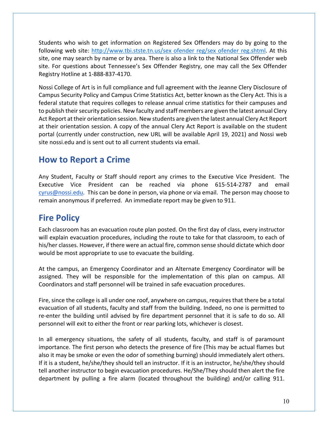Students who wish to get information on Registered Sex Offenders may do by going to the following web site: http://www.tbi.stste.tn.us/sex ofender reg/sex ofender reg.shtml. At this site, one may search by name or by area. There is also a link to the National Sex Offender web site. For questions about Tennessee's Sex Offender Registry, one may call the Sex Offender Registry Hotline at 1-888-837-4170.

Nossi College of Art is in full compliance and full agreement with the Jeanne Clery Disclosure of Campus Security Policy and Campus Crime Statistics Act, better known as the Clery Act. This is a federal statute that requires colleges to release annual crime statistics for their campuses and to publish their security policies. New faculty and staff members are given the latest annual Clery Act Report at their orientation session. New students are given the latest annual Clery Act Report at their orientation session. A copy of the annual Clery Act Report is available on the student portal (currently under construction, new URL will be available April 19, 2021) and Nossi web site nossi.edu and is sent out to all current students via email.

### **How to Report a Crime**

Any Student, Faculty or Staff should report any crimes to the Executive Vice President. The Executive Vice President can be reached via phone 615-514-2787 and email cyrus@nossi.edu. This can be done in person, via phone or via email. The person may choose to remain anonymous if preferred. An immediate report may be given to 911.

# **Fire Policy**

Each classroom has an evacuation route plan posted. On the first day of class, every instructor will explain evacuation procedures, including the route to take for that classroom, to each of his/her classes. However, if there were an actual fire, common sense should dictate which door would be most appropriate to use to evacuate the building.

At the campus, an Emergency Coordinator and an Alternate Emergency Coordinator will be assigned. They will be responsible for the implementation of this plan on campus. All Coordinators and staff personnel will be trained in safe evacuation procedures.

Fire, since the college is all under one roof, anywhere on campus, requires that there be a total evacuation of all students, faculty and staff from the building. Indeed, no one is permitted to re-enter the building until advised by fire department personnel that it is safe to do so. All personnel will exit to either the front or rear parking lots, whichever is closest.

In all emergency situations, the safety of all students, faculty, and staff is of paramount importance. The first person who detects the presence of fire (This may be actual flames but also it may be smoke or even the odor of something burning) should immediately alert others. If it is a student, he/she/they should tell an instructor. If it is an instructor, he/she/they should tell another instructor to begin evacuation procedures. He/She/They should then alert the fire department by pulling a fire alarm (located throughout the building) and/or calling 911.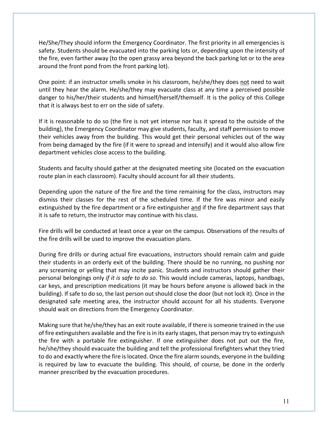He/She/They should inform the Emergency Coordinator. The first priority in all emergencies is safety. Students should be evacuated into the parking lots or, depending upon the intensity of the fire, even farther away (to the open grassy area beyond the back parking lot or to the area around the front pond from the front parking lot).

One point: if an instructor smells smoke in his classroom, he/she/they does not need to wait until they hear the alarm. He/she/they may evacuate class at any time a perceived possible danger to his/her/their students and himself/herself/themself. It is the policy of this College that it is always best to err on the side of safety.

If it is reasonable to do so (the fire is not yet intense nor has it spread to the outside of the building), the Emergency Coordinator may give students, faculty, and staff permission to move their vehicles away from the building. This would get their personal vehicles out of the way from being damaged by the fire (if it were to spread and intensify) and it would also allow fire department vehicles close access to the building.

Students and faculty should gather at the designated meeting site (located on the evacuation route plan in each classroom). Faculty should account for all their students.

Depending upon the nature of the fire and the time remaining for the class, instructors may dismiss their classes for the rest of the scheduled time. If the fire was minor and easily extinguished by the fire department or a fire extinguisher and if the fire department says that it is safe to return, the instructor may continue with his class.

Fire drills will be conducted at least once a year on the campus. Observations of the results of the fire drills will be used to improve the evacuation plans.

During fire drills or during actual fire evacuations, instructors should remain calm and guide their students in an orderly exit of the building. There should be no running, no pushing nor any screaming or yelling that may incite panic. Students and instructors should gather their personal belongings only *if it is safe to do so*. This would include cameras, laptops, handbags, car keys, and prescription medications (it may be hours before anyone is allowed back in the building). If safe to do so, the last person out should close the door (but not lock it). Once in the designated safe meeting area, the instructor should account for all his students. Everyone should wait on directions from the Emergency Coordinator.

Making sure that he/she/they has an exit route available, if there is someone trained in the use of fire extinguishers available and the fire is in its early stages, that person may try to extinguish the fire with a portable fire extinguisher. If one extinguisher does not put out the fire, he/she/they should evacuate the building and tell the professional firefighters what they tried to do and exactly where the fire is located. Once the fire alarm sounds, everyone in the building is required by law to evacuate the building. This should, of course, be done in the orderly manner prescribed by the evacuation procedures.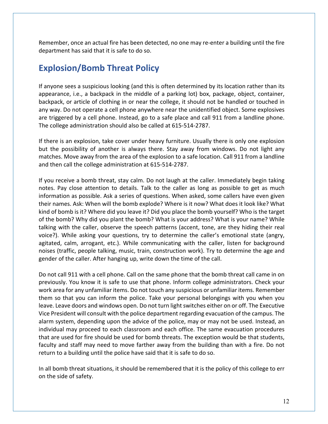Remember, once an actual fire has been detected, no one may re-enter a building until the fire department has said that it is safe to do so.

### **Explosion/Bomb Threat Policy**

If anyone sees a suspicious looking (and this is often determined by its location rather than its appearance, i.e., a backpack in the middle of a parking lot) box, package, object, container, backpack, or article of clothing in or near the college, it should not be handled or touched in any way. Do not operate a cell phone anywhere near the unidentified object. Some explosives are triggered by a cell phone. Instead, go to a safe place and call 911 from a landline phone. The college administration should also be called at 615-514-2787.

If there is an explosion, take cover under heavy furniture. Usually there is only one explosion but the possibility of another is always there. Stay away from windows. Do not light any matches. Move away from the area of the explosion to a safe location. Call 911 from a landline and then call the college administration at 615-514-2787.

If you receive a bomb threat, stay calm. Do not laugh at the caller. Immediately begin taking notes. Pay close attention to details. Talk to the caller as long as possible to get as much information as possible. Ask a series of questions. When asked, some callers have even given their names. Ask: When will the bomb explode? Where is it now? What does it look like? What kind of bomb is it? Where did you leave it? Did you place the bomb yourself? Who is the target of the bomb? Why did you plant the bomb? What is your address? What is your name? While talking with the caller, observe the speech patterns (accent, tone, are they hiding their real voice?). While asking your questions, try to determine the caller's emotional state (angry, agitated, calm, arrogant, etc.). While communicating with the caller, listen for background noises (traffic, people talking, music, train, construction work). Try to determine the age and gender of the caller. After hanging up, write down the time of the call.

Do not call 911 with a cell phone. Call on the same phone that the bomb threat call came in on previously. You know it is safe to use that phone. Inform college administrators. Check your work area for any unfamiliar items. Do not touch any suspicious or unfamiliar items. Remember them so that you can inform the police. Take your personal belongings with you when you leave. Leave doors and windows open. Do not turn light switches either on or off. The Executive Vice President will consult with the police department regarding evacuation of the campus. The alarm system, depending upon the advice of the police, may or may not be used. Instead, an individual may proceed to each classroom and each office. The same evacuation procedures that are used for fire should be used for bomb threats. The exception would be that students, faculty and staff may need to move farther away from the building than with a fire. Do not return to a building until the police have said that it is safe to do so.

In all bomb threat situations, it should be remembered that it is the policy of this college to err on the side of safety.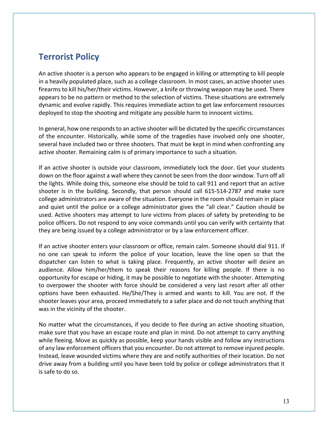### **Terrorist Policy**

An active shooter is a person who appears to be engaged in killing or attempting to kill people in a heavily populated place, such as a college classroom. In most cases, an active shooter uses firearms to kill his/her/their victims. However, a knife or throwing weapon may be used. There appears to be no pattern or method to the selection of victims. These situations are extremely dynamic and evolve rapidly. This requires immediate action to get law enforcement resources deployed to stop the shooting and mitigate any possible harm to innocent victims.

In general, how one responds to an active shooter will be dictated by the specific circumstances of the encounter. Historically, while some of the tragedies have involved only one shooter, several have included two or three shooters. That must be kept in mind when confronting any active shooter. Remaining calm is of primary importance to such a situation.

If an active shooter is outside your classroom, immediately lock the door. Get your students down on the floor against a wall where they cannot be seen from the door window. Turn off all the lights. While doing this, someone else should be told to call 911 and report that an active shooter is in the building. Secondly, that person should call 615-514-2787 and make sure college administrators are aware of the situation. Everyone in the room should remain in place and quiet until the police or a college administrator gives the "all clear." Caution should be used. Active shooters may attempt to lure victims from places of safety by pretending to be police officers. Do not respond to any voice commands until you can verify with certainty that they are being issued by a college administrator or by a law enforcement officer.

If an active shooter enters your classroom or office, remain calm. Someone should dial 911. If no one can speak to inform the police of your location, leave the line open so that the dispatcher can listen to what is taking place. Frequently, an active shooter will desire an audience. Allow him/her/them to speak their reasons for killing people. If there is no opportunity for escape or hiding, it may be possible to negotiate with the shooter. Attempting to overpower the shooter with force should be considered a very last resort after all other options have been exhausted. He/She/They is armed and wants to kill. You are not. If the shooter leaves your area, proceed immediately to a safer place and do not touch anything that was in the vicinity of the shooter.

No matter what the circumstances, if you decide to flee during an active shooting situation, make sure that you have an escape route and plan in mind. Do not attempt to carry anything while fleeing. Move as quickly as possible, keep your hands visible and follow any instructions of any law enforcement officers that you encounter. Do not attempt to remove injured people. Instead, leave wounded victims where they are and notify authorities of their location. Do not drive away from a building until you have been told by police or college administrators that it is safe to do so.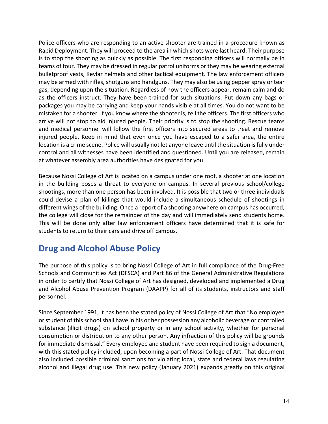Police officers who are responding to an active shooter are trained in a procedure known as Rapid Deployment. They will proceed to the area in which shots were last heard. Their purpose is to stop the shooting as quickly as possible. The first responding officers will normally be in teams of four. They may be dressed in regular patrol uniforms or they may be wearing external bulletproof vests, Kevlar helmets and other tactical equipment. The law enforcement officers may be armed with rifles, shotguns and handguns. They may also be using pepper spray or tear gas, depending upon the situation. Regardless of how the officers appear, remain calm and do as the officers instruct. They have been trained for such situations. Put down any bags or packages you may be carrying and keep your hands visible at all times. You do not want to be mistaken for a shooter. If you know where the shooter is, tell the officers. The first officers who arrive will not stop to aid injured people. Their priority is to stop the shooting. Rescue teams and medical personnel will follow the first officers into secured areas to treat and remove injured people. Keep in mind that even once you have escaped to a safer area, the entire location is a crime scene. Police will usually not let anyone leave until the situation is fully under control and all witnesses have been identified and questioned. Until you are released, remain at whatever assembly area authorities have designated for you.

Because Nossi College of Art is located on a campus under one roof, a shooter at one location in the building poses a threat to everyone on campus. In several previous school/college shootings, more than one person has been involved. It is possible that two or three individuals could devise a plan of killings that would include a simultaneous schedule of shootings in different wings of the building. Once a report of a shooting anywhere on campus has occurred, the college will close for the remainder of the day and will immediately send students home. This will be done only after law enforcement officers have determined that it is safe for students to return to their cars and drive off campus.

### **Drug and Alcohol Abuse Policy**

The purpose of this policy is to bring Nossi College of Art in full compliance of the Drug-Free Schools and Communities Act (DFSCA) and Part 86 of the General Administrative Regulations in order to certify that Nossi College of Art has designed, developed and implemented a Drug and Alcohol Abuse Prevention Program (DAAPP) for all of its students, instructors and staff personnel.

Since September 1991, it has been the stated policy of Nossi College of Art that "No employee or student of this school shall have in his or her possession any alcoholic beverage or controlled substance (illicit drugs) on school property or in any school activity, whether for personal consumption or distribution to any other person. Any infraction of this policy will be grounds for immediate dismissal." Every employee and student have been required to sign a document, with this stated policy included, upon becoming a part of Nossi College of Art. That document also included possible criminal sanctions for violating local, state and federal laws regulating alcohol and illegal drug use. This new policy (January 2021) expands greatly on this original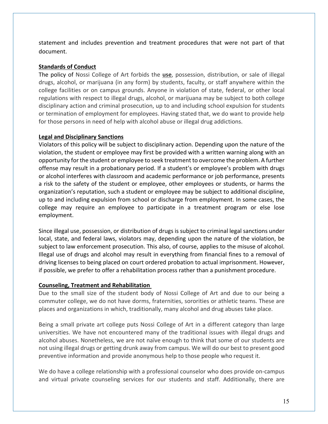statement and includes prevention and treatment procedures that were not part of that document.

#### **Standards of Conduct**

The policy of Nossi College of Art forbids the **use**, possession, distribution, or sale of illegal drugs, alcohol, or marijuana (in any form) by students, faculty, or staff anywhere within the college facilities or on campus grounds. Anyone in violation of state, federal, or other local regulations with respect to illegal drugs, alcohol, or marijuana may be subject to both college disciplinary action and criminal prosecution, up to and including school expulsion for students or termination of employment for employees. Having stated that, we do want to provide help for those persons in need of help with alcohol abuse or illegal drug addictions.

#### **Legal and Disciplinary Sanctions**

Violators of this policy will be subject to disciplinary action. Depending upon the nature of the violation, the student or employee may first be provided with a written warning along with an opportunity for the student or employee to seek treatment to overcome the problem. A further offense may result in a probationary period. If a student's or employee's problem with drugs or alcohol interferes with classroom and academic performance or job performance, presents a risk to the safety of the student or employee, other employees or students, or harms the organization's reputation, such a student or employee may be subject to additional discipline, up to and including expulsion from school or discharge from employment. In some cases, the college may require an employee to participate in a treatment program or else lose employment.

Since illegal use, possession, or distribution of drugs is subject to criminal legal sanctions under local, state, and federal laws, violators may, depending upon the nature of the violation, be subject to law enforcement prosecution. This also, of course, applies to the misuse of alcohol. Illegal use of drugs and alcohol may result in everything from financial fines to a removal of driving licenses to being placed on court ordered probation to actual imprisonment. However, if possible, we prefer to offer a rehabilitation process rather than a punishment procedure.

#### **Counseling, Treatment and Rehabilitation**

Due to the small size of the student body of Nossi College of Art and due to our being a commuter college, we do not have dorms, fraternities, sororities or athletic teams. These are places and organizations in which, traditionally, many alcohol and drug abuses take place.

Being a small private art college puts Nossi College of Art in a different category than large universities. We have not encountered many of the traditional issues with illegal drugs and alcohol abuses. Nonetheless, we are not naïve enough to think that some of our students are not using illegal drugs or getting drunk away from campus. We will do our best to present good preventive information and provide anonymous help to those people who request it.

We do have a college relationship with a professional counselor who does provide on-campus and virtual private counseling services for our students and staff. Additionally, there are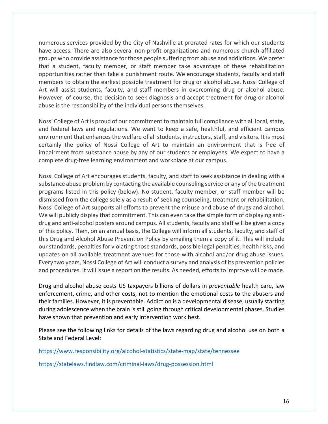numerous services provided by the City of Nashville at prorated rates for which our students have access. There are also several non-profit organizations and numerous church affiliated groups who provide assistance for those people suffering from abuse and addictions. We prefer that a student, faculty member, or staff member take advantage of these rehabilitation opportunities rather than take a punishment route. We encourage students, faculty and staff members to obtain the earliest possible treatment for drug or alcohol abuse. Nossi College of Art will assist students, faculty, and staff members in overcoming drug or alcohol abuse. However, of course, the decision to seek diagnosis and accept treatment for drug or alcohol abuse is the responsibility of the individual persons themselves.

Nossi College of Art is proud of our commitment to maintain full compliance with all local, state, and federal laws and regulations. We want to keep a safe, healthful, and efficient campus environment that enhances the welfare of all students, instructors, staff, and visitors. It is most certainly the policy of Nossi College of Art to maintain an environment that is free of impairment from substance abuse by any of our students or employees. We expect to have a complete drug-free learning environment and workplace at our campus.

Nossi College of Art encourages students, faculty, and staff to seek assistance in dealing with a substance abuse problem by contacting the available counseling service or any of the treatment programs listed in this policy (below). No student, faculty member, or staff member will be dismissed from the college solely as a result of seeking counseling, treatment or rehabilitation. Nossi College of Art supports all efforts to prevent the misuse and abuse of drugs and alcohol. We will publicly display that commitment. This can even take the simple form of displaying antidrug and anti-alcohol posters around campus. All students, faculty and staff will be given a copy of this policy. Then, on an annual basis, the College will inform all students, faculty, and staff of this Drug and Alcohol Abuse Prevention Policy by emailing them a copy of it. This will include our standards, penalties for violating those standards, possible legal penalties, health risks, and updates on all available treatment avenues for those with alcohol and/or drug abuse issues. Every two years, Nossi College of Art will conduct a survey and analysis of its prevention policies and procedures. It will issue a report on the results. As needed, efforts to improve will be made.

Drug and alcohol abuse costs US taxpayers billions of dollars in *preventable* health care, law enforcement, crime, and other costs, not to mention the emotional costs to the abusers and their families. However, it is preventable. Addiction is a developmental disease, usually starting during adolescence when the brain is still going through critical developmental phases. Studies have shown that prevention and early intervention work best.

Please see the following links for details of the laws regarding drug and alcohol use on both a State and Federal Level:

https://www.responsibility.org/alcohol-statistics/state-map/state/tennessee

https://statelaws.findlaw.com/criminal-laws/drug-possession.html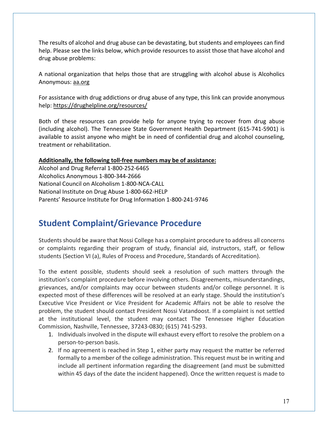The results of alcohol and drug abuse can be devastating, but students and employees can find help. Please see the links below, which provide resources to assist those that have alcohol and drug abuse problems:

A national organization that helps those that are struggling with alcohol abuse is Alcoholics Anonymous: aa.org

For assistance with drug addictions or drug abuse of any type, this link can provide anonymous help: https://drughelpline.org/resources/

Both of these resources can provide help for anyone trying to recover from drug abuse (including alcohol). The Tennessee State Government Health Department (615-741-5901) is available to assist anyone who might be in need of confidential drug and alcohol counseling, treatment or rehabilitation.

#### **Additionally, the following toll-free numbers may be of assistance:**

Alcohol and Drug Referral 1-800-252-6465 Alcoholics Anonymous 1-800-344-2666 National Council on Alcoholism 1-800-NCA-CALL National Institute on Drug Abuse 1-800-662-HELP Parents' Resource Institute for Drug Information 1-800-241-9746

## **Student Complaint/Grievance Procedure**

Students should be aware that Nossi College has a complaint procedure to address all concerns or complaints regarding their program of study, financial aid, instructors, staff, or fellow students (Section VI (a), Rules of Process and Procedure, Standards of Accreditation).

To the extent possible, students should seek a resolution of such matters through the institution's complaint procedure before involving others. Disagreements, misunderstandings, grievances, and/or complaints may occur between students and/or college personnel. It is expected most of these differences will be resolved at an early stage. Should the institution's Executive Vice President or Vice President for Academic Affairs not be able to resolve the problem, the student should contact President Nossi Vatandoost. If a complaint is not settled at the institutional level, the student may contact The Tennessee Higher Education Commission, Nashville, Tennessee, 37243-0830; (615) 741-5293.

- 1. Individuals involved in the dispute will exhaust every effort to resolve the problem on a person-to-person basis.
- 2. If no agreement is reached in Step 1, either party may request the matter be referred formally to a member of the college administration. This request must be in writing and include all pertinent information regarding the disagreement (and must be submitted within 45 days of the date the incident happened). Once the written request is made to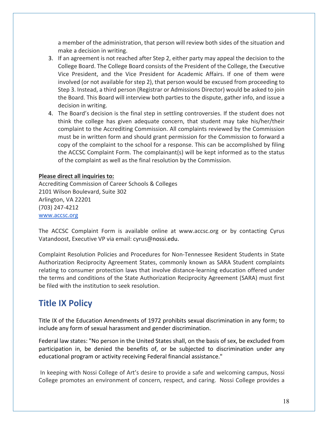a member of the administration, that person will review both sides of the situation and make a decision in writing.

- 3. If an agreement is not reached after Step 2, either party may appeal the decision to the College Board. The College Board consists of the President of the College, the Executive Vice President, and the Vice President for Academic Affairs. If one of them were involved (or not available for step 2), that person would be excused from proceeding to Step 3. Instead, a third person (Registrar or Admissions Director) would be asked to join the Board. This Board will interview both parties to the dispute, gather info, and issue a decision in writing.
- 4. The Board's decision is the final step in settling controversies. If the student does not think the college has given adequate concern, that student may take his/her/their complaint to the Accrediting Commission. All complaints reviewed by the Commission must be in written form and should grant permission for the Commission to forward a copy of the complaint to the school for a response. This can be accomplished by filing the ACCSC Complaint Form. The complainant(s) will be kept informed as to the status of the complaint as well as the final resolution by the Commission.

#### **Please direct all inquiries to:**

Accrediting Commission of Career Schools & Colleges 2101 Wilson Boulevard, Suite 302 Arlington, VA 22201 (703) 247-4212 www.accsc.org

The ACCSC Complaint Form is available online at www.accsc.org or by contacting Cyrus Vatandoost, Executive VP via email: cyrus@nossi.edu.

Complaint Resolution Policies and Procedures for Non-Tennessee Resident Students in State Authorization Reciprocity Agreement States, commonly known as SARA Student complaints relating to consumer protection laws that involve distance-learning education offered under the terms and conditions of the State Authorization Reciprocity Agreement (SARA) must first be filed with the institution to seek resolution.

## **Title IX Policy**

Title IX of the Education Amendments of 1972 prohibits sexual discrimination in any form; to include any form of sexual harassment and gender discrimination.

Federal law states: "No person in the United States shall, on the basis of sex, be excluded from participation in, be denied the benefits of, or be subjected to discrimination under any educational program or activity receiving Federal financial assistance."

In keeping with Nossi College of Art's desire to provide a safe and welcoming campus, Nossi College promotes an environment of concern, respect, and caring. Nossi College provides a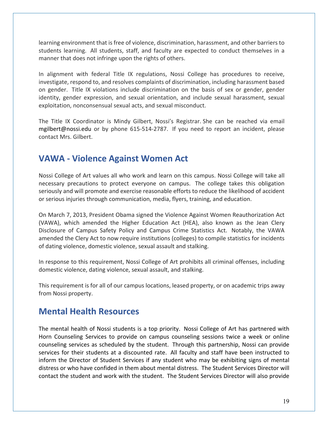learning environment that is free of violence, discrimination, harassment, and other barriers to students learning. All students, staff, and faculty are expected to conduct themselves in a manner that does not infringe upon the rights of others.

In alignment with federal Title IX regulations, Nossi College has procedures to receive, investigate, respond to, and resolves complaints of discrimination, including harassment based on gender. Title IX violations include discrimination on the basis of sex or gender, gender identity, gender expression, and sexual orientation, and include sexual harassment, sexual exploitation, nonconsensual sexual acts, and sexual misconduct.

The Title IX Coordinator is Mindy Gilbert, Nossi's Registrar. She can be reached via email mgilbert@nossi.edu or by phone 615-514-2787. If you need to report an incident, please contact Mrs. Gilbert.

### **VAWA - Violence Against Women Act**

Nossi College of Art values all who work and learn on this campus. Nossi College will take all necessary precautions to protect everyone on campus. The college takes this obligation seriously and will promote and exercise reasonable efforts to reduce the likelihood of accident or serious injuries through communication, media, flyers, training, and education.

On March 7, 2013, President Obama signed the Violence Against Women Reauthorization Act (VAWA), which amended the Higher Education Act (HEA), also known as the Jean Clery Disclosure of Campus Safety Policy and Campus Crime Statistics Act. Notably, the VAWA amended the Clery Act to now require institutions (colleges) to compile statistics for incidents of dating violence, domestic violence, sexual assault and stalking.

In response to this requirement, Nossi College of Art prohibits all criminal offenses, including domestic violence, dating violence, sexual assault, and stalking.

This requirement is for all of our campus locations, leased property, or on academic trips away from Nossi property.

### **Mental Health Resources**

The mental health of Nossi students is a top priority. Nossi College of Art has partnered with Horn Counseling Services to provide on campus counseling sessions twice a week or online counseling services as scheduled by the student. Through this partnership, Nossi can provide services for their students at a discounted rate. All faculty and staff have been instructed to inform the Director of Student Services if any student who may be exhibiting signs of mental distress or who have confided in them about mental distress. The Student Services Director will contact the student and work with the student. The Student Services Director will also provide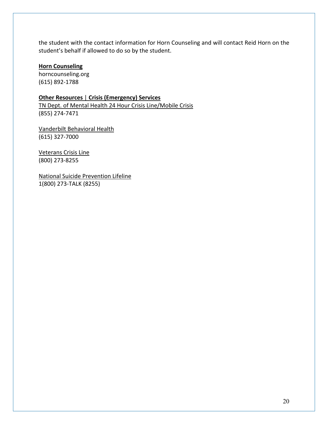the student with the contact information for Horn Counseling and will contact Reid Horn on the student's behalf if allowed to do so by the student.

#### **Horn Counseling**

horncounseling.org (615) 892-1788

**Other Resources** | **Crisis (Emergency) Services**  TN Dept. of Mental Health 24 Hour Crisis Line/Mobile Crisis (855) 274-7471

Vanderbilt Behavioral Health (615) 327-7000

Veterans Crisis Line (800) 273-8255

National Suicide Prevention Lifeline 1(800) 273-TALK (8255)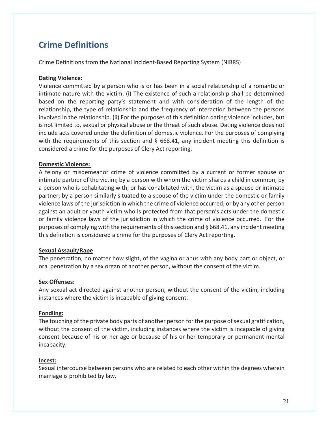# **Crime Definitions**

Crime Definitions from the National Incident-Based Reporting System (NIBRS)

#### **Dating Violence:**

Violence committed by a person who is or has been in a social relationship of a romantic or intimate nature with the victim. (i) The existence of such a relationship shall be determined based on the reporting party's statement and with consideration of the length of the relationship, the type of relationship and the frequency of interaction between the persons involved in the relationship. (ii) For the purposes of this definition dating violence includes, but is not limited to, sexual or physical abuse or the threat of such abuse. Dating violence does not include acts covered under the definition of domestic violence. For the purposes of complying with the requirements of this section and § 668.41, any incident meeting this definition is considered a crime for the purposes of Clery Act reporting.

#### **Domestic Violence:**

A felony or misdemeanor crime of violence committed by a current or former spouse or intimate partner of the victim; by a person with whom the victim shares a child in common; by a person who is cohabitating with, or has cohabitated with, the victim as a spouse or intimate partner; by a person similarly situated to a spouse of the victim under the domestic or family violence laws of the jurisdiction in which the crime of violence occurred; or by any other person against an adult or youth victim who is protected from that person's acts under the domestic or family violence laws of the jurisdiction in which the crime of violence occurred. For the purposes of complying with the requirements of this section and § 668.41, any incident meeting this definition is considered a crime for the purposes of Clery Act reporting.

#### **Sexual Assault**/**Rape**

The penetration, no matter how slight, of the vagina or anus with any body part or object, or oral penetration by a sex organ of another person, without the consent of the victim.

#### **Sex Offenses:**

Any sexual act directed against another person, without the consent of the victim, including instances where the victim is incapable of giving consent.

#### **Fondling:**

The touching of the private body parts of another person for the purpose of sexual gratification, without the consent of the victim, including instances where the victim is incapable of giving consent because of his or her age or because of his or her temporary or permanent mental incapacity.

#### **Incest:**

Sexual intercourse between persons who are related to each other within the degrees wherein marriage is prohibited by law.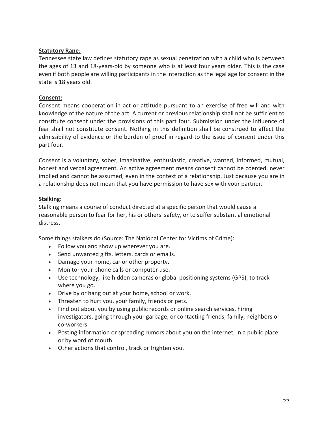#### **Statutory Rape**:

Tennessee state law defines statutory rape as sexual penetration with a child who is between the ages of 13 and 18-years-old by someone who is at least four years older. This is the case even if both people are willing participants in the interaction as the legal age for consent in the state is 18 years old.

#### **Consent:**

Consent means cooperation in act or attitude pursuant to an exercise of free will and with knowledge of the nature of the act. A current or previous relationship shall not be sufficient to constitute consent under the provisions of this part four. Submission under the influence of fear shall not constitute consent. Nothing in this definition shall be construed to affect the admissibility of evidence or the burden of proof in regard to the issue of consent under this part four.

Consent is a voluntary, sober, imaginative, enthusiastic, creative, wanted, informed, mutual, honest and verbal agreement. An active agreement means consent cannot be coerced, never implied and cannot be assumed, even in the context of a relationship. Just because you are in a relationship does not mean that you have permission to have sex with your partner.

#### **Stalking:**

Stalking means a course of conduct directed at a specific person that would cause a reasonable person to fear for her, his or others' safety, or to suffer substantial emotional distress.

Some things stalkers do (Source: The National Center for Victims of Crime):

- Follow you and show up wherever you are.
- Send unwanted gifts, letters, cards or emails.
- Damage your home, car or other property.
- Monitor your phone calls or computer use.
- Use technology, like hidden cameras or global positioning systems (GPS), to track where you go.
- Drive by or hang out at your home, school or work.
- Threaten to hurt you, your family, friends or pets.
- Find out about you by using public records or online search services, hiring investigators, going through your garbage, or contacting friends, family, neighbors or co-workers.
- Posting information or spreading rumors about you on the internet, in a public place or by word of mouth.
- Other actions that control, track or frighten you.